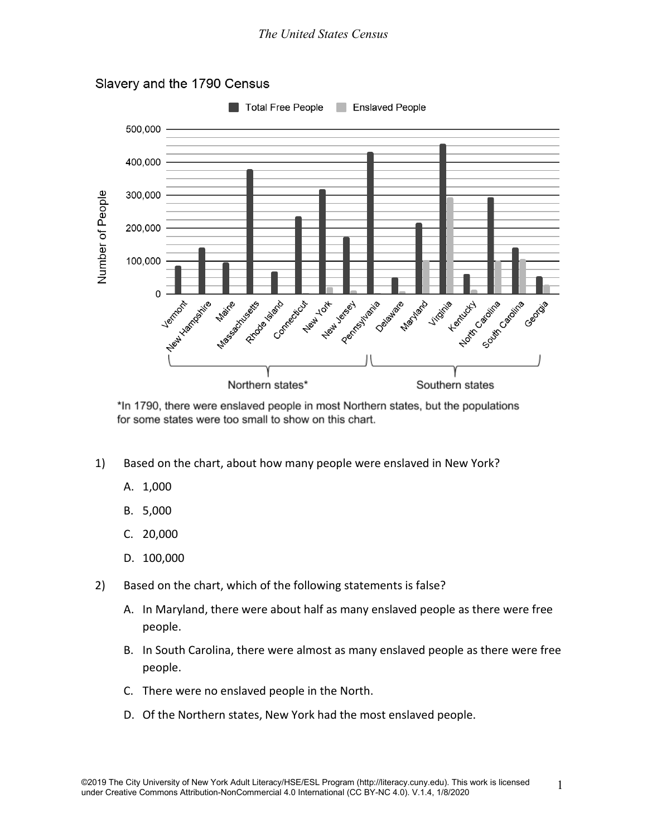

Slavery and the 1790 Census

\*In 1790, there were enslaved people in most Northern states, but the populations for some states were too small to show on this chart.

- 1) Based on the chart, about how many people were enslaved in New York?
	- A. 1,000
	- B. 5,000
	- C. 20,000
	- D. 100,000
- 2) Based on the chart, which of the following statements is false?
	- A. In Maryland, there were about half as many enslaved people as there were free people.
	- B. In South Carolina, there were almost as many enslaved people as there were free people.
	- C. There were no enslaved people in the North.
	- D. Of the Northern states, New York had the most enslaved people.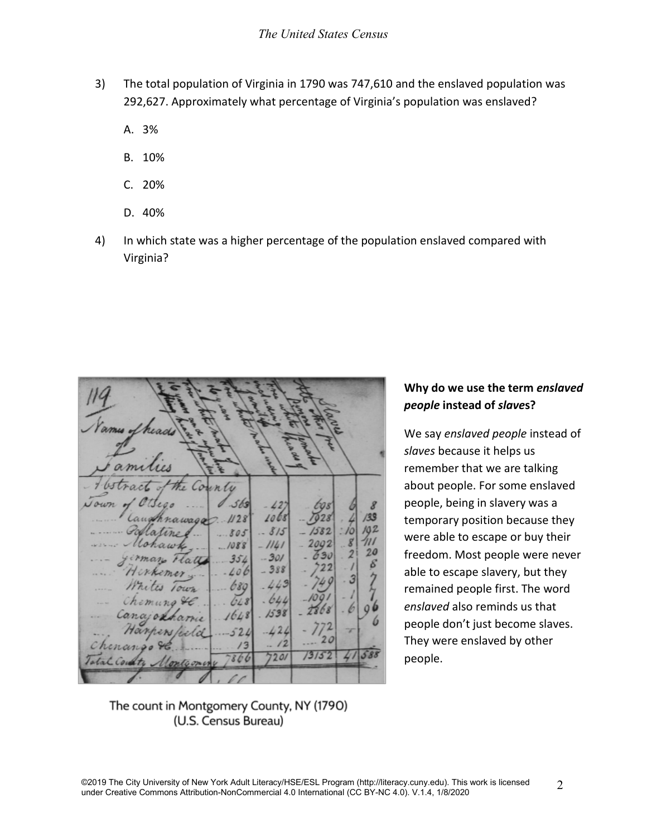- 3) The total population of Virginia in 1790 was 747,610 and the enslaved population was 292,627. Approximately what percentage of Virginia's population was enslaved?
	- A. 3%
	- B. 10%
	- C. 20%
	- D. 40%
- 4) In which state was a higher percentage of the population enslaved compared with Virginia?

| <b>Call Print</b><br>Names of heads                                                             |                                |                                           |     |                      |
|-------------------------------------------------------------------------------------------------|--------------------------------|-------------------------------------------|-----|----------------------|
| Families                                                                                        |                                |                                           |     |                      |
| Abstract of the County<br>Journ of Ottego  0.563<br>Caughnawage.<br>.1128<br>Pollatines.<br>805 | $-427$<br>1068<br>815          | tos<br>7928<br>$-1582$                    | 10  | 8<br>/33<br>102      |
| Mohawk,   1088<br>girman Flatty 354<br>Herkemer  406                                            | $-1141$<br>$-301$<br>$-388$    | $-2002$<br>$-630$ . 2<br>$-722$<br>$-749$ |     | ווו<br>20<br>$\beta$ |
| Whites Town  689 .443<br>Chemung &C.<br>Canajonhamie<br>1648<br>Harpers/celd<br>524             | $648 - 644$<br>.1538<br>$-424$ | $-1091$<br>2868<br>$-772$                 |     |                      |
| Chenango H.<br>Total County Montgomery 7866                                                     | $-12$<br>7201                  | 20<br>73/52                               | 415 |                      |

## **Why do we use the term** *enslaved people* **instead of** *slave***s?**

We say *enslaved people* instead of *slaves* because it helps us remember that we are talking about people. For some enslaved people, being in slavery was a temporary position because they were able to escape or buy their freedom. Most people were never able to escape slavery, but they remained people first. The word *enslaved* also reminds us that people don't just become slaves. They were enslaved by other people.

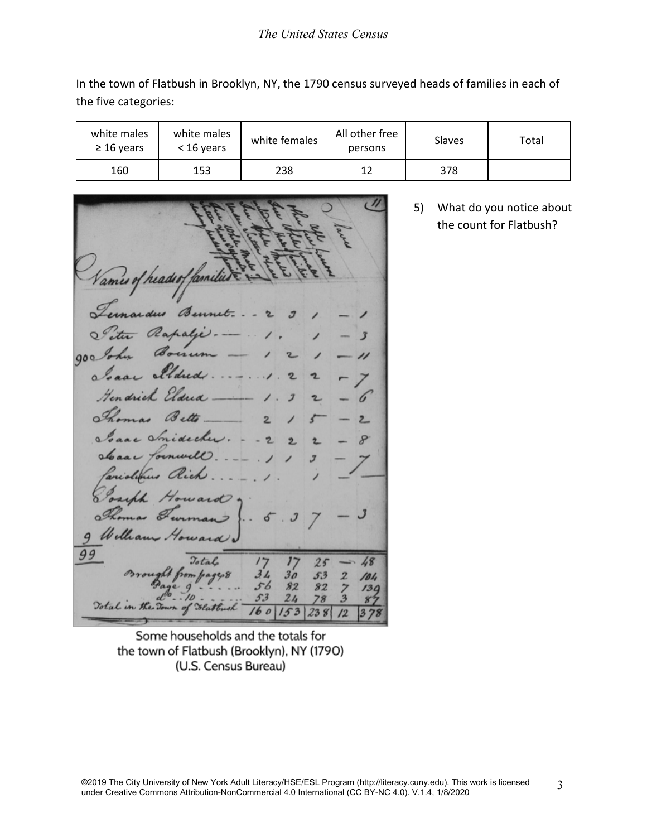## *The United States Census*

In the town of Flatbush in Brooklyn, NY, the 1790 census surveyed heads of families in each of the five categories:

| white males<br>$\geq$ 16 years | white males<br>$<$ 16 years | white females | All other free<br>persons | Slaves | Total |
|--------------------------------|-----------------------------|---------------|---------------------------|--------|-------|
| 160                            | 153                         | 238           | 12                        | 378    |       |

Vames of headeof familie raidus Bennet.  $O<sup>2</sup>$ Rapalje  $\overline{\mathbf{3}}$  $000$ ״ Eldre a Gendrich Eldrid Bette a Smidecke  $\alpha$  $\alpha$ Tornwell Le Willia ward. 99 Jotal  $25$ 48  $3L$  $30<sub>o</sub>$ 53  $\overline{z}$ 104 56 82 82  $139$ 53  $24$ 78  $\mathbf{S}^{\prime}$ Total in the To  $160$  $153$ 238  $\sqrt{2}$ 

5) What do you notice about the count for Flatbush?

Some households and the totals for the town of Flatbush (Brooklyn), NY (1790) (U.S. Census Bureau)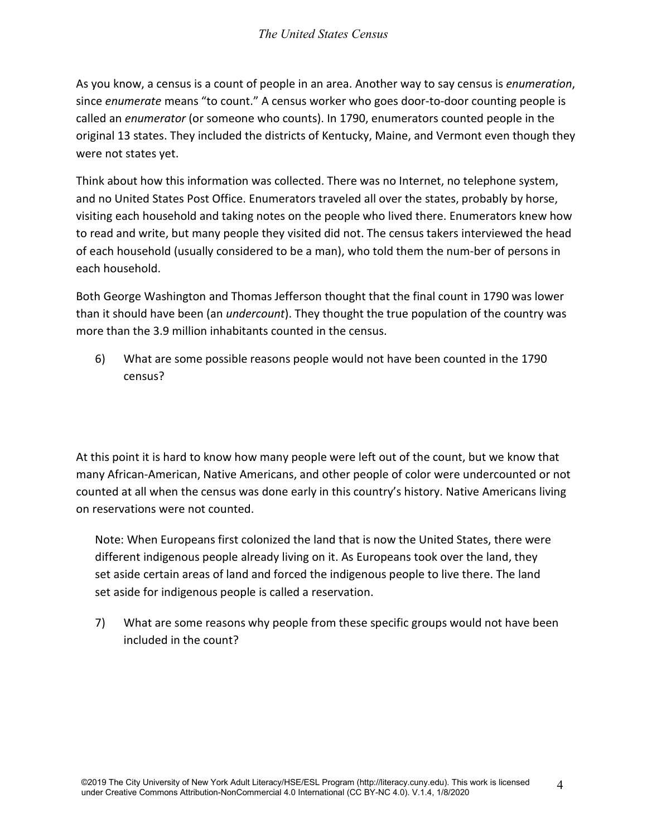As you know, a census is a count of people in an area. Another way to say census is *enumeration*, since *enumerate* means "to count." A census worker who goes door-to-door counting people is called an *enumerator* (or someone who counts). In 1790, enumerators counted people in the original 13 states. They included the districts of Kentucky, Maine, and Vermont even though they were not states yet.

Think about how this information was collected. There was no Internet, no telephone system, and no United States Post Office. Enumerators traveled all over the states, probably by horse, visiting each household and taking notes on the people who lived there. Enumerators knew how to read and write, but many people they visited did not. The census takers interviewed the head of each household (usually considered to be a man), who told them the num-ber of persons in each household.

Both George Washington and Thomas Jefferson thought that the final count in 1790 was lower than it should have been (an *undercount*). They thought the true population of the country was more than the 3.9 million inhabitants counted in the census.

6) What are some possible reasons people would not have been counted in the 1790 census?

At this point it is hard to know how many people were left out of the count, but we know that many African-American, Native Americans, and other people of color were undercounted or not counted at all when the census was done early in this country's history. Native Americans living on reservations were not counted.

Note: When Europeans first colonized the land that is now the United States, there were different indigenous people already living on it. As Europeans took over the land, they set aside certain areas of land and forced the indigenous people to live there. The land set aside for indigenous people is called a reservation.

7) What are some reasons why people from these specific groups would not have been included in the count?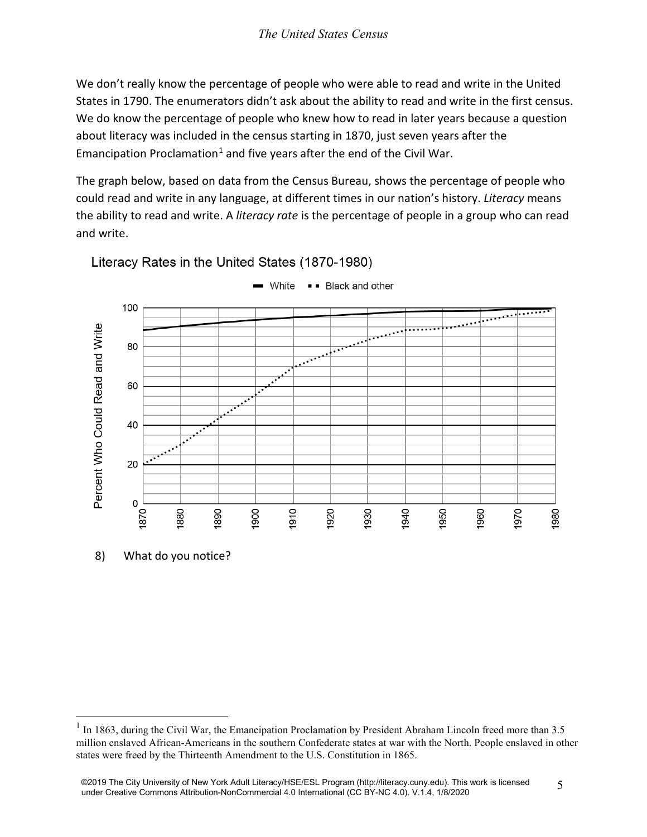We don't really know the percentage of people who were able to read and write in the United States in 1790. The enumerators didn't ask about the ability to read and write in the first census. We do know the percentage of people who knew how to read in later years because a question about literacy was included in the census starting in 1870, just seven years after the Emancipation Proclamation<sup>[1](#page-4-0)</sup> and five years after the end of the Civil War.

The graph below, based on data from the Census Bureau, shows the percentage of people who could read and write in any language, at different times in our nation's history. *Literacy* means the ability to read and write. A *literacy rate* is the percentage of people in a group who can read and write.



Literacy Rates in the United States (1870-1980)

<span id="page-4-0"></span> $1$  In 1863, during the Civil War, the Emancipation Proclamation by President Abraham Lincoln freed more than 3.5 million enslaved African-Americans in the southern Confederate states at war with the North. People enslaved in other states were freed by the Thirteenth Amendment to the U.S. Constitution in 1865.